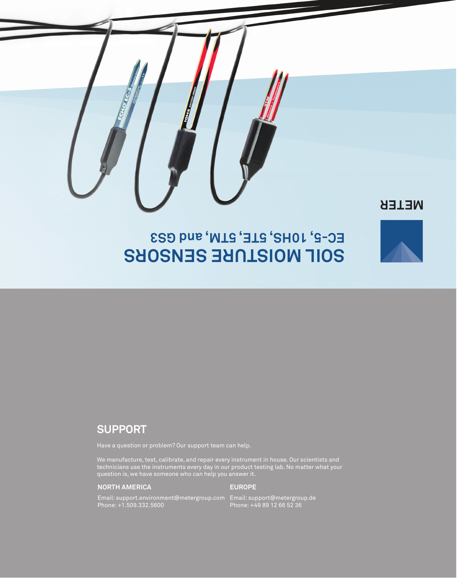## **NETER**

# **SOIL MOISTURE SENSORS EC-5, 10HS, 5TE, 5TM, and GS3**

## **SUPPORT**

Have a question or problem? Our support team can help.

We manufacture, test, calibrate, and repair every instrument in house. Our scientists and technicians use the instruments every day in our product testing lab. No matter what your question is, we have someone who can help you answer it.

### **NORTH AMERICA**

### **EUROPE**

Email: support.environment@metergroup.com Phone: +1.509.332.5600 Email: support@metergroup.de Phone: +49 89 12 66 52 36